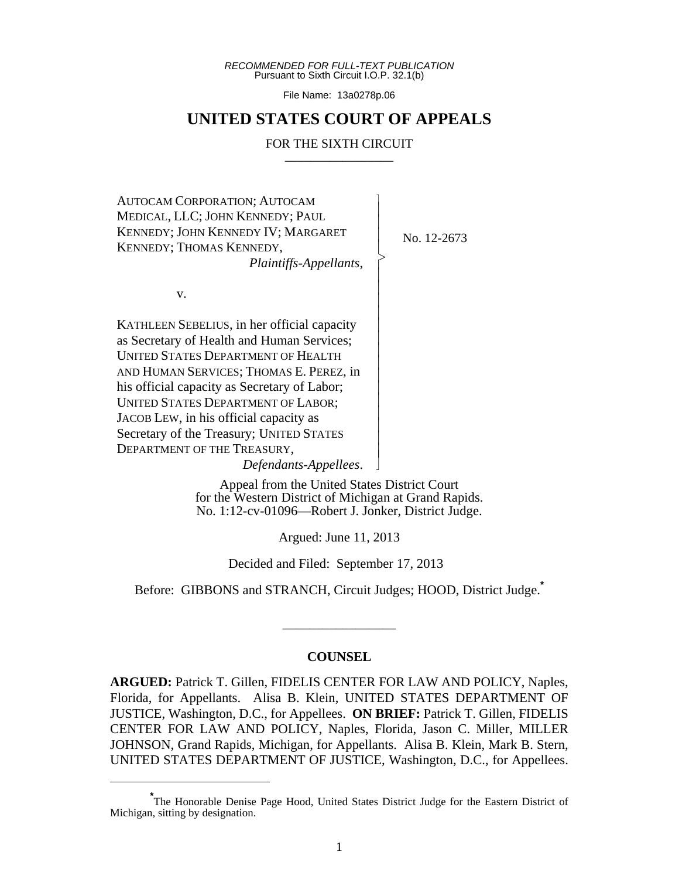*RECOMMENDED FOR FULL-TEXT PUBLICATION* Pursuant to Sixth Circuit I.O.P. 32.1(b)

File Name: 13a0278p.06

# **UNITED STATES COURT OF APPEALS**

#### FOR THE SIXTH CIRCUIT

 $\overline{\phantom{a}}$ - - - > , - - - - - - - - - - - - - - - N

AUTOCAM CORPORATION; AUTOCAM MEDICAL, LLC; JOHN KENNEDY; PAUL KENNEDY; JOHN KENNEDY IV; MARGARET KENNEDY; THOMAS KENNEDY, *Plaintiffs-Appellants*,

No. 12-2673

v.

KATHLEEN SEBELIUS, in her official capacity as Secretary of Health and Human Services; UNITED STATES DEPARTMENT OF HEALTH AND HUMAN SERVICES; THOMAS E. PEREZ, in his official capacity as Secretary of Labor; UNITED STATES DEPARTMENT OF LABOR; JACOB LEW, in his official capacity as Secretary of the Treasury; UNITED STATES DEPARTMENT OF THE TREASURY,

*Defendants-Appellees*.

Appeal from the United States District Court for the Western District of Michigan at Grand Rapids. No. 1:12-cv-01096—Robert J. Jonker, District Judge.

Argued: June 11, 2013

Decided and Filed: September 17, 2013

Before: GIBBONS and STRANCH, Circuit Judges; HOOD, District Judge.**\***

\_\_\_\_\_\_\_\_\_\_\_\_\_\_\_\_\_

#### **COUNSEL**

**ARGUED:** Patrick T. Gillen, FIDELIS CENTER FOR LAW AND POLICY, Naples, Florida, for Appellants. Alisa B. Klein, UNITED STATES DEPARTMENT OF JUSTICE, Washington, D.C., for Appellees. **ON BRIEF:** Patrick T. Gillen, FIDELIS CENTER FOR LAW AND POLICY, Naples, Florida, Jason C. Miller, MILLER JOHNSON, Grand Rapids, Michigan, for Appellants. Alisa B. Klein, Mark B. Stern, UNITED STATES DEPARTMENT OF JUSTICE, Washington, D.C., for Appellees.

**<sup>\*</sup>** The Honorable Denise Page Hood, United States District Judge for the Eastern District of Michigan, sitting by designation.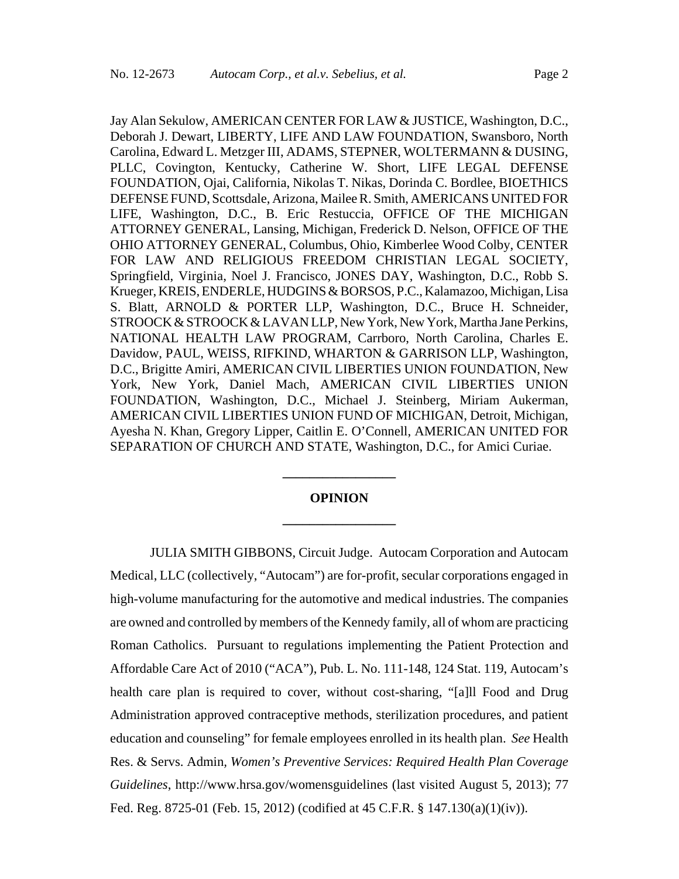Jay Alan Sekulow, AMERICAN CENTER FOR LAW & JUSTICE, Washington, D.C., Deborah J. Dewart, LIBERTY, LIFE AND LAW FOUNDATION, Swansboro, North Carolina, Edward L. Metzger III, ADAMS, STEPNER, WOLTERMANN & DUSING, PLLC, Covington, Kentucky, Catherine W. Short, LIFE LEGAL DEFENSE FOUNDATION, Ojai, California, Nikolas T. Nikas, Dorinda C. Bordlee, BIOETHICS DEFENSE FUND, Scottsdale, Arizona, Mailee R. Smith, AMERICANS UNITED FOR LIFE, Washington, D.C., B. Eric Restuccia, OFFICE OF THE MICHIGAN ATTORNEY GENERAL, Lansing, Michigan, Frederick D. Nelson, OFFICE OF THE OHIO ATTORNEY GENERAL, Columbus, Ohio, Kimberlee Wood Colby, CENTER FOR LAW AND RELIGIOUS FREEDOM CHRISTIAN LEGAL SOCIETY, Springfield, Virginia, Noel J. Francisco, JONES DAY, Washington, D.C., Robb S. Krueger, KREIS, ENDERLE, HUDGINS & BORSOS, P.C., Kalamazoo, Michigan, Lisa S. Blatt, ARNOLD & PORTER LLP, Washington, D.C., Bruce H. Schneider, STROOCK & STROOCK & LAVAN LLP, New York, New York, Martha Jane Perkins, NATIONAL HEALTH LAW PROGRAM, Carrboro, North Carolina, Charles E. Davidow, PAUL, WEISS, RIFKIND, WHARTON & GARRISON LLP, Washington, D.C., Brigitte Amiri, AMERICAN CIVIL LIBERTIES UNION FOUNDATION, New York, New York, Daniel Mach, AMERICAN CIVIL LIBERTIES UNION FOUNDATION, Washington, D.C., Michael J. Steinberg, Miriam Aukerman, AMERICAN CIVIL LIBERTIES UNION FUND OF MICHIGAN, Detroit, Michigan, Ayesha N. Khan, Gregory Lipper, Caitlin E. O'Connell, AMERICAN UNITED FOR SEPARATION OF CHURCH AND STATE, Washington, D.C., for Amici Curiae.

# **OPINION \_\_\_\_\_\_\_\_\_\_\_\_\_\_\_\_\_**

**\_\_\_\_\_\_\_\_\_\_\_\_\_\_\_\_\_**

JULIA SMITH GIBBONS, Circuit Judge. Autocam Corporation and Autocam Medical, LLC (collectively, "Autocam") are for-profit, secular corporations engaged in high-volume manufacturing for the automotive and medical industries. The companies are owned and controlled by members of the Kennedy family, all of whom are practicing Roman Catholics. Pursuant to regulations implementing the Patient Protection and Affordable Care Act of 2010 ("ACA"), Pub. L. No. 111-148, 124 Stat. 119, Autocam's health care plan is required to cover, without cost-sharing, "[a]ll Food and Drug Administration approved contraceptive methods, sterilization procedures, and patient education and counseling" for female employees enrolled in its health plan. *See* Health Res. & Servs. Admin*, Women's Preventive Services: Required Health Plan Coverage Guidelines*, http://www.hrsa.gov/womensguidelines (last visited August 5, 2013); 77 Fed. Reg. 8725-01 (Feb. 15, 2012) (codified at 45 C.F.R. § 147.130(a)(1)(iv)).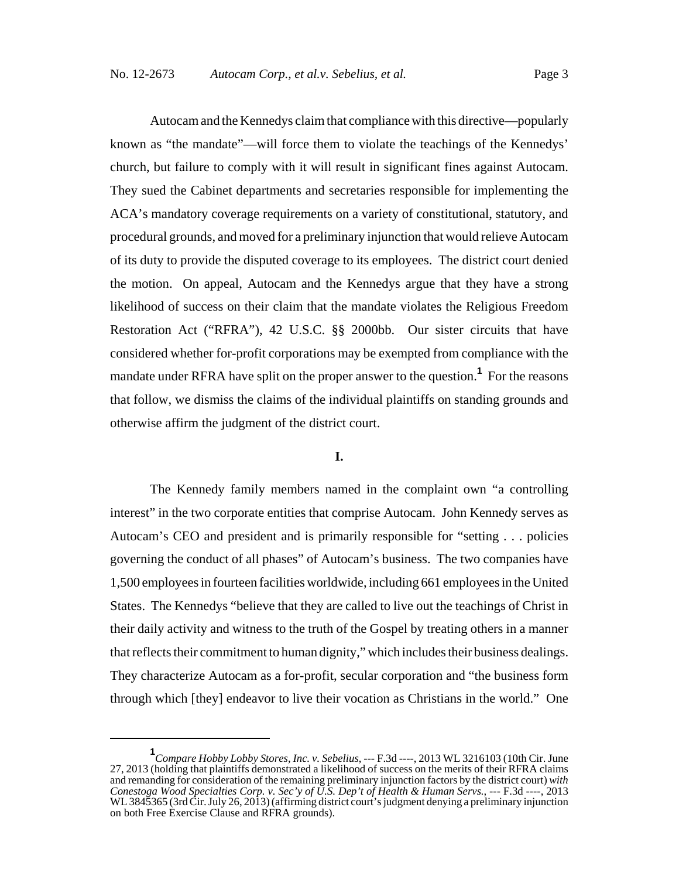Autocam and the Kennedys claim that compliance with this directive—popularly known as "the mandate"—will force them to violate the teachings of the Kennedys' church, but failure to comply with it will result in significant fines against Autocam. They sued the Cabinet departments and secretaries responsible for implementing the ACA's mandatory coverage requirements on a variety of constitutional, statutory, and procedural grounds, and moved for a preliminary injunction that would relieve Autocam of its duty to provide the disputed coverage to its employees. The district court denied the motion. On appeal, Autocam and the Kennedys argue that they have a strong likelihood of success on their claim that the mandate violates the Religious Freedom Restoration Act ("RFRA"), 42 U.S.C. §§ 2000bb. Our sister circuits that have considered whether for-profit corporations may be exempted from compliance with the mandate under RFRA have split on the proper answer to the question.**<sup>1</sup>** For the reasons that follow, we dismiss the claims of the individual plaintiffs on standing grounds and otherwise affirm the judgment of the district court.

# **I.**

The Kennedy family members named in the complaint own "a controlling interest" in the two corporate entities that comprise Autocam. John Kennedy serves as Autocam's CEO and president and is primarily responsible for "setting . . . policies governing the conduct of all phases" of Autocam's business. The two companies have 1,500 employees in fourteen facilities worldwide, including 661 employees in the United States. The Kennedys "believe that they are called to live out the teachings of Christ in their daily activity and witness to the truth of the Gospel by treating others in a manner that reflects their commitment to human dignity," which includes their business dealings. They characterize Autocam as a for-profit, secular corporation and "the business form through which [they] endeavor to live their vocation as Christians in the world." One

**<sup>1</sup>** *Compare Hobby Lobby Stores, Inc. v. Sebelius*, --- F.3d ----, 2013 WL 3216103 (10th Cir. June 27, 2013 (holding that plaintiffs demonstrated a likelihood of success on the merits of their RFRA claims and remanding for consideration of the remaining preliminary injunction factors by the district court) *with Conestoga Wood Specialties Corp. v. Sec'y of U.S. Dep't of Health & Human Servs.*, --- F.3d ----, 2013 WL 3845365 (3rd Cir. July 26, 2013) (affirming district court's judgment denying a preliminary injunction on both Free Exercise Clause and RFRA grounds).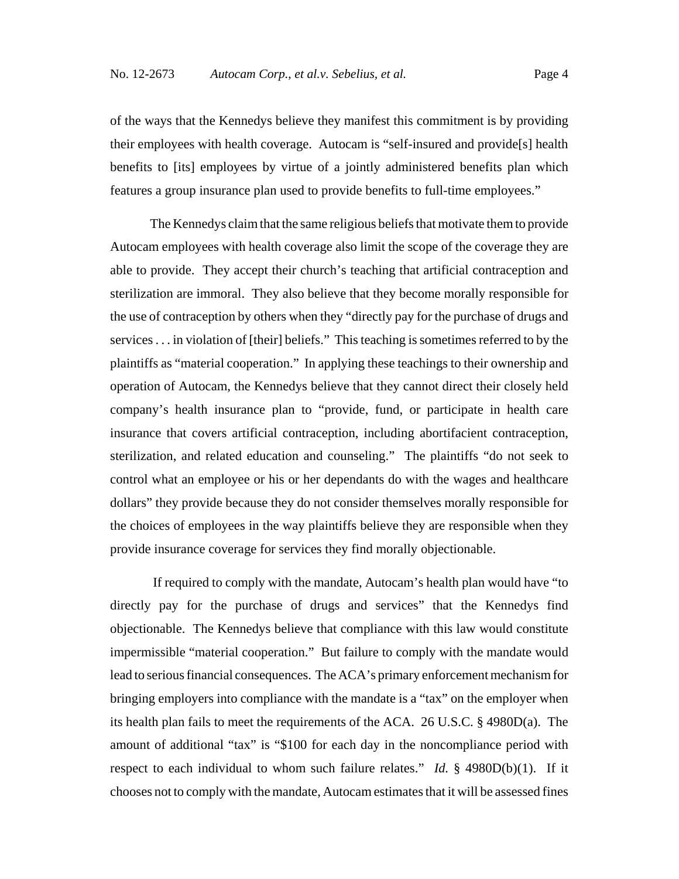of the ways that the Kennedys believe they manifest this commitment is by providing their employees with health coverage. Autocam is "self-insured and provide[s] health benefits to [its] employees by virtue of a jointly administered benefits plan which features a group insurance plan used to provide benefits to full-time employees."

The Kennedys claim that the same religious beliefs that motivate them to provide Autocam employees with health coverage also limit the scope of the coverage they are able to provide. They accept their church's teaching that artificial contraception and sterilization are immoral. They also believe that they become morally responsible for the use of contraception by others when they "directly pay for the purchase of drugs and services . . . in violation of [their] beliefs." This teaching is sometimes referred to by the plaintiffs as "material cooperation." In applying these teachings to their ownership and operation of Autocam, the Kennedys believe that they cannot direct their closely held company's health insurance plan to "provide, fund, or participate in health care insurance that covers artificial contraception, including abortifacient contraception, sterilization, and related education and counseling." The plaintiffs "do not seek to control what an employee or his or her dependants do with the wages and healthcare dollars" they provide because they do not consider themselves morally responsible for the choices of employees in the way plaintiffs believe they are responsible when they provide insurance coverage for services they find morally objectionable.

 If required to comply with the mandate, Autocam's health plan would have "to directly pay for the purchase of drugs and services" that the Kennedys find objectionable. The Kennedys believe that compliance with this law would constitute impermissible "material cooperation." But failure to comply with the mandate would lead to serious financial consequences. The ACA's primary enforcement mechanism for bringing employers into compliance with the mandate is a "tax" on the employer when its health plan fails to meet the requirements of the ACA. 26 U.S.C. § 4980D(a). The amount of additional "tax" is "\$100 for each day in the noncompliance period with respect to each individual to whom such failure relates." *Id.* § 4980D(b)(1). If it chooses not to comply with the mandate, Autocam estimates that it will be assessed fines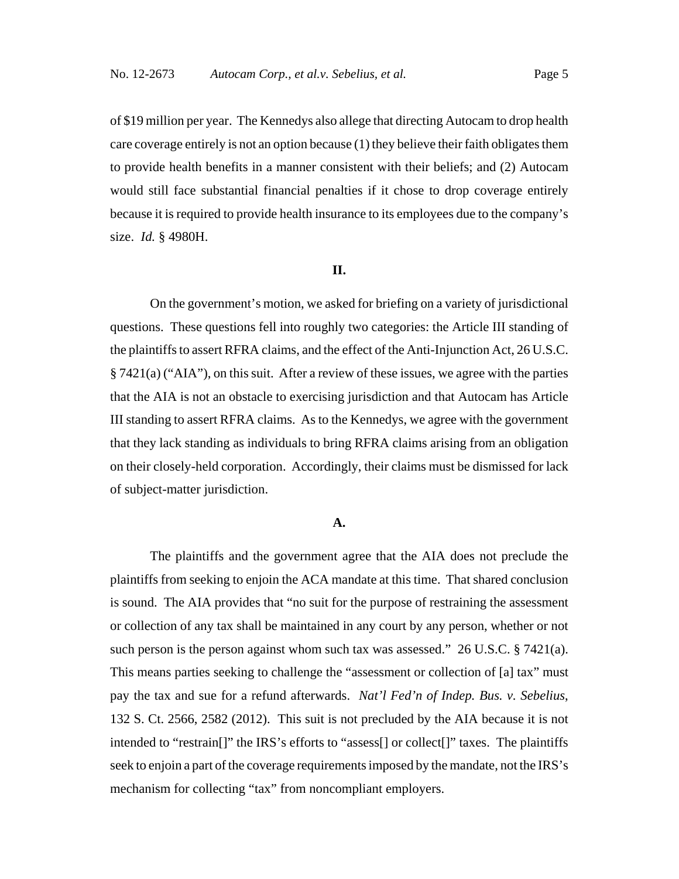of \$19 million per year. The Kennedys also allege that directing Autocam to drop health care coverage entirely is not an option because (1) they believe their faith obligates them to provide health benefits in a manner consistent with their beliefs; and (2) Autocam would still face substantial financial penalties if it chose to drop coverage entirely because it is required to provide health insurance to its employees due to the company's size. *Id.* § 4980H.

## **II.**

On the government's motion, we asked for briefing on a variety of jurisdictional questions. These questions fell into roughly two categories: the Article III standing of the plaintiffs to assert RFRA claims, and the effect of the Anti-Injunction Act, 26 U.S.C. § 7421(a) ("AIA"), on this suit. After a review of these issues, we agree with the parties that the AIA is not an obstacle to exercising jurisdiction and that Autocam has Article III standing to assert RFRA claims. As to the Kennedys, we agree with the government that they lack standing as individuals to bring RFRA claims arising from an obligation on their closely-held corporation. Accordingly, their claims must be dismissed for lack of subject-matter jurisdiction.

#### **A.**

The plaintiffs and the government agree that the AIA does not preclude the plaintiffs from seeking to enjoin the ACA mandate at this time. That shared conclusion is sound. The AIA provides that "no suit for the purpose of restraining the assessment or collection of any tax shall be maintained in any court by any person, whether or not such person is the person against whom such tax was assessed." 26 U.S.C. § 7421(a). This means parties seeking to challenge the "assessment or collection of [a] tax" must pay the tax and sue for a refund afterwards. *Nat'l Fed'n of Indep. Bus. v. Sebelius*, 132 S. Ct. 2566, 2582 (2012).This suit is not precluded by the AIA because it is not intended to "restrain[]" the IRS's efforts to "assess[] or collect[]" taxes. The plaintiffs seek to enjoin a part of the coverage requirements imposed by the mandate, not the IRS's mechanism for collecting "tax" from noncompliant employers.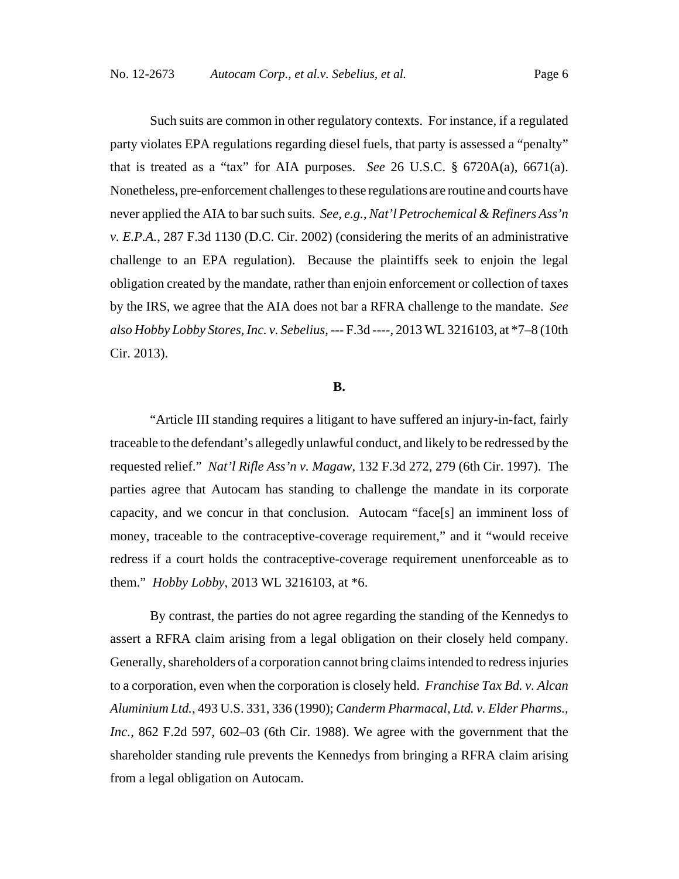Such suits are common in other regulatory contexts. For instance, if a regulated party violates EPA regulations regarding diesel fuels, that party is assessed a "penalty" that is treated as a "tax" for AIA purposes. *See* 26 U.S.C. § 6720A(a), 6671(a). Nonetheless, pre-enforcement challenges to these regulations are routine and courts have never applied the AIA to bar such suits. *See, e.g.*, *Nat'l Petrochemical & Refiners Ass'n v. E.P.A.*, 287 F.3d 1130 (D.C. Cir. 2002) (considering the merits of an administrative challenge to an EPA regulation). Because the plaintiffs seek to enjoin the legal obligation created by the mandate, rather than enjoin enforcement or collection of taxes by the IRS, we agree that the AIA does not bar a RFRA challenge to the mandate. *See also Hobby Lobby Stores, Inc. v. Sebelius*, --- F.3d ----, 2013 WL 3216103, at \*7–8 (10th Cir. 2013).

#### **B.**

"Article III standing requires a litigant to have suffered an injury-in-fact, fairly traceable to the defendant's allegedly unlawful conduct, and likely to be redressed by the requested relief." *Nat'l Rifle Ass'n v. Magaw*, 132 F.3d 272, 279 (6th Cir. 1997). The parties agree that Autocam has standing to challenge the mandate in its corporate capacity, and we concur in that conclusion. Autocam "face[s] an imminent loss of money, traceable to the contraceptive-coverage requirement," and it "would receive redress if a court holds the contraceptive-coverage requirement unenforceable as to them." *Hobby Lobby*, 2013 WL 3216103, at \*6.

By contrast, the parties do not agree regarding the standing of the Kennedys to assert a RFRA claim arising from a legal obligation on their closely held company. Generally, shareholders of a corporation cannot bring claims intended to redress injuries to a corporation, even when the corporation is closely held. *Franchise Tax Bd. v. Alcan Aluminium Ltd.*, 493 U.S. 331, 336 (1990); *Canderm Pharmacal, Ltd. v. Elder Pharms., Inc.*, 862 F.2d 597, 602–03 (6th Cir. 1988). We agree with the government that the shareholder standing rule prevents the Kennedys from bringing a RFRA claim arising from a legal obligation on Autocam.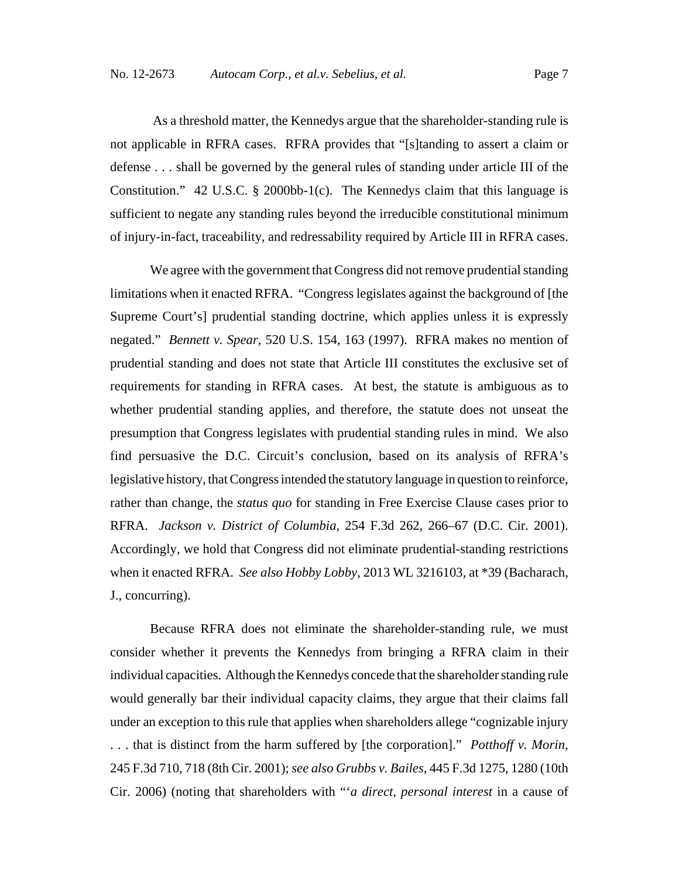As a threshold matter, the Kennedys argue that the shareholder-standing rule is not applicable in RFRA cases. RFRA provides that "[s]tanding to assert a claim or defense . . . shall be governed by the general rules of standing under article III of the Constitution." 42 U.S.C. § 2000bb-1(c). The Kennedys claim that this language is sufficient to negate any standing rules beyond the irreducible constitutional minimum of injury-in-fact, traceability, and redressability required by Article III in RFRA cases.

We agree with the government that Congress did not remove prudential standing limitations when it enacted RFRA. "Congress legislates against the background of [the Supreme Court's] prudential standing doctrine, which applies unless it is expressly negated." *Bennett v. Spear*, 520 U.S. 154, 163 (1997). RFRA makes no mention of prudential standing and does not state that Article III constitutes the exclusive set of requirements for standing in RFRA cases. At best, the statute is ambiguous as to whether prudential standing applies, and therefore, the statute does not unseat the presumption that Congress legislates with prudential standing rules in mind. We also find persuasive the D.C. Circuit's conclusion, based on its analysis of RFRA's legislative history, that Congress intended the statutory language in question to reinforce, rather than change, the *status quo* for standing in Free Exercise Clause cases prior to RFRA. *Jackson v. District of Columbia*, 254 F.3d 262, 266–67 (D.C. Cir. 2001). Accordingly, we hold that Congress did not eliminate prudential-standing restrictions when it enacted RFRA. *See also Hobby Lobby*, 2013 WL 3216103, at \*39 (Bacharach, J., concurring).

Because RFRA does not eliminate the shareholder-standing rule, we must consider whether it prevents the Kennedys from bringing a RFRA claim in their individual capacities. Although the Kennedys concede that the shareholder standing rule would generally bar their individual capacity claims, they argue that their claims fall under an exception to this rule that applies when shareholders allege "cognizable injury . . . that is distinct from the harm suffered by [the corporation]." *Potthoff v. Morin*, 245 F.3d 710, 718 (8th Cir. 2001); *see also Grubbs v. Bailes*, 445 F.3d 1275, 1280 (10th Cir. 2006) (noting that shareholders with "'*a direct, personal interest* in a cause of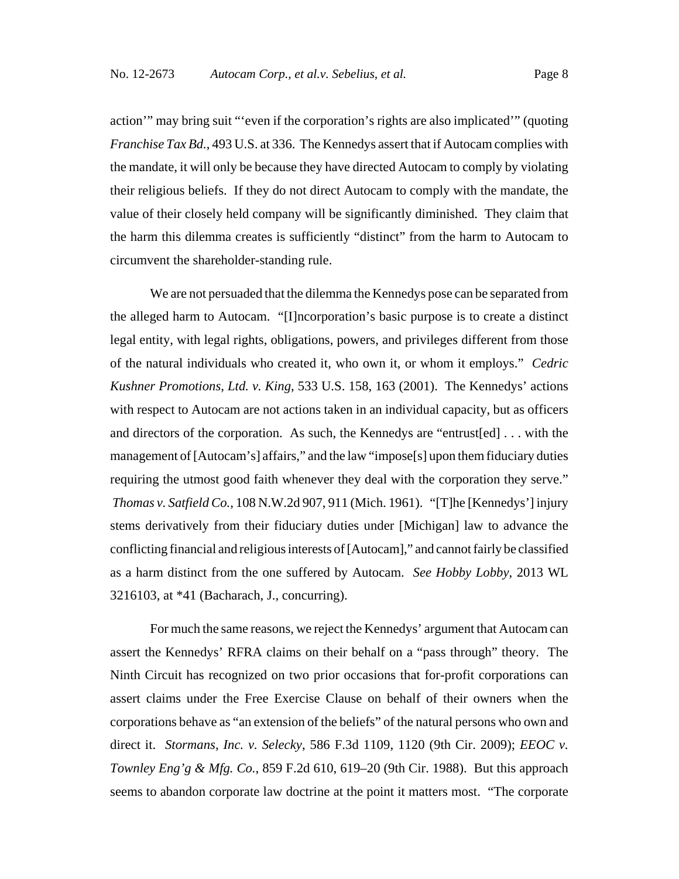action'" may bring suit "'even if the corporation's rights are also implicated'" (quoting *Franchise Tax Bd.*, 493 U.S. at 336. The Kennedys assert that if Autocam complies with the mandate, it will only be because they have directed Autocam to comply by violating their religious beliefs. If they do not direct Autocam to comply with the mandate, the value of their closely held company will be significantly diminished. They claim that the harm this dilemma creates is sufficiently "distinct" from the harm to Autocam to circumvent the shareholder-standing rule.

We are not persuaded that the dilemma the Kennedys pose can be separated from the alleged harm to Autocam. "[I]ncorporation's basic purpose is to create a distinct legal entity, with legal rights, obligations, powers, and privileges different from those of the natural individuals who created it, who own it, or whom it employs." *Cedric Kushner Promotions, Ltd. v. King*, 533 U.S. 158, 163 (2001). The Kennedys' actions with respect to Autocam are not actions taken in an individual capacity, but as officers and directors of the corporation. As such, the Kennedys are "entrust[ed] . . . with the management of [Autocam's] affairs," and the law "impose[s] upon them fiduciary duties requiring the utmost good faith whenever they deal with the corporation they serve." *Thomas v. Satfield Co.*, 108 N.W.2d 907, 911 (Mich. 1961). "[T]he [Kennedys'] injury stems derivatively from their fiduciary duties under [Michigan] law to advance the conflicting financial and religious interests of [Autocam]," and cannot fairly be classified as a harm distinct from the one suffered by Autocam. *See Hobby Lobby*, 2013 WL 3216103, at \*41 (Bacharach, J., concurring).

For much the same reasons, we reject the Kennedys' argument that Autocam can assert the Kennedys' RFRA claims on their behalf on a "pass through" theory. The Ninth Circuit has recognized on two prior occasions that for-profit corporations can assert claims under the Free Exercise Clause on behalf of their owners when the corporations behave as "an extension of the beliefs" of the natural persons who own and direct it. *Stormans, Inc. v. Selecky*, 586 F.3d 1109, 1120 (9th Cir. 2009); *EEOC v. Townley Eng'g & Mfg. Co.*, 859 F.2d 610, 619–20 (9th Cir. 1988). But this approach seems to abandon corporate law doctrine at the point it matters most. "The corporate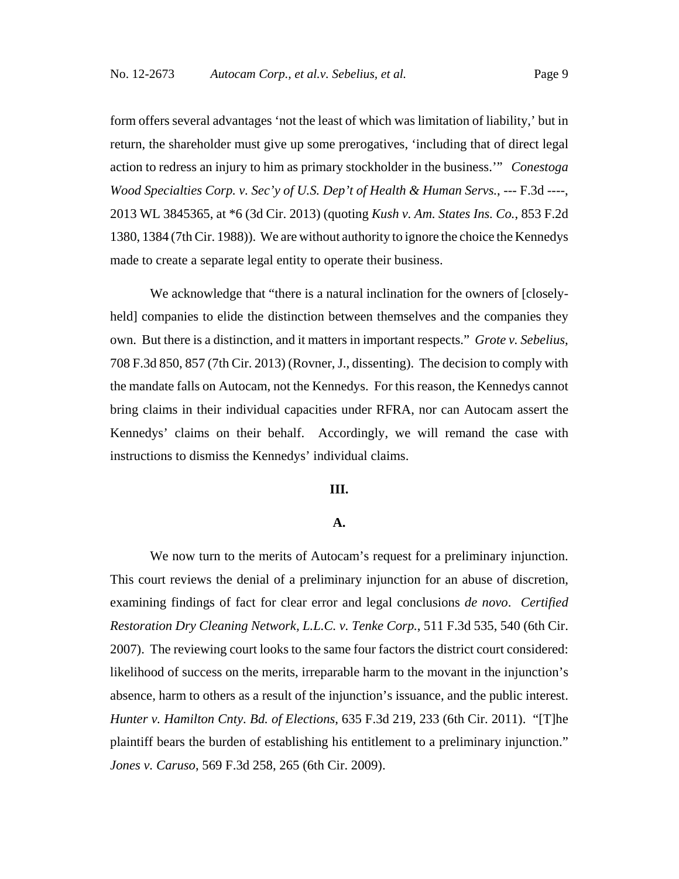form offers several advantages 'not the least of which was limitation of liability,' but in return, the shareholder must give up some prerogatives, 'including that of direct legal action to redress an injury to him as primary stockholder in the business.'" *Conestoga Wood Specialties Corp. v. Sec'y of U.S. Dep't of Health & Human Servs.*, --- F.3d ----, 2013 WL 3845365, at \*6 (3d Cir. 2013) (quoting *Kush v. Am. States Ins. Co.*, 853 F.2d 1380, 1384 (7th Cir. 1988)). We are without authority to ignore the choice the Kennedys made to create a separate legal entity to operate their business.

We acknowledge that "there is a natural inclination for the owners of [closelyheld] companies to elide the distinction between themselves and the companies they own. But there is a distinction, and it matters in important respects." *Grote v. Sebelius*, 708 F.3d 850, 857 (7th Cir. 2013) (Rovner, J., dissenting). The decision to comply with the mandate falls on Autocam, not the Kennedys. For this reason, the Kennedys cannot bring claims in their individual capacities under RFRA, nor can Autocam assert the Kennedys' claims on their behalf. Accordingly, we will remand the case with instructions to dismiss the Kennedys' individual claims.

## **III.**

#### **A.**

We now turn to the merits of Autocam's request for a preliminary injunction. This court reviews the denial of a preliminary injunction for an abuse of discretion, examining findings of fact for clear error and legal conclusions *de novo*. *Certified Restoration Dry Cleaning Network, L.L.C. v. Tenke Corp.*, 511 F.3d 535, 540 (6th Cir. 2007). The reviewing court looks to the same four factors the district court considered: likelihood of success on the merits, irreparable harm to the movant in the injunction's absence, harm to others as a result of the injunction's issuance, and the public interest. *Hunter v. Hamilton Cnty. Bd. of Elections*, 635 F.3d 219, 233 (6th Cir. 2011). "[T]he plaintiff bears the burden of establishing his entitlement to a preliminary injunction." *Jones v. Caruso*, 569 F.3d 258, 265 (6th Cir. 2009).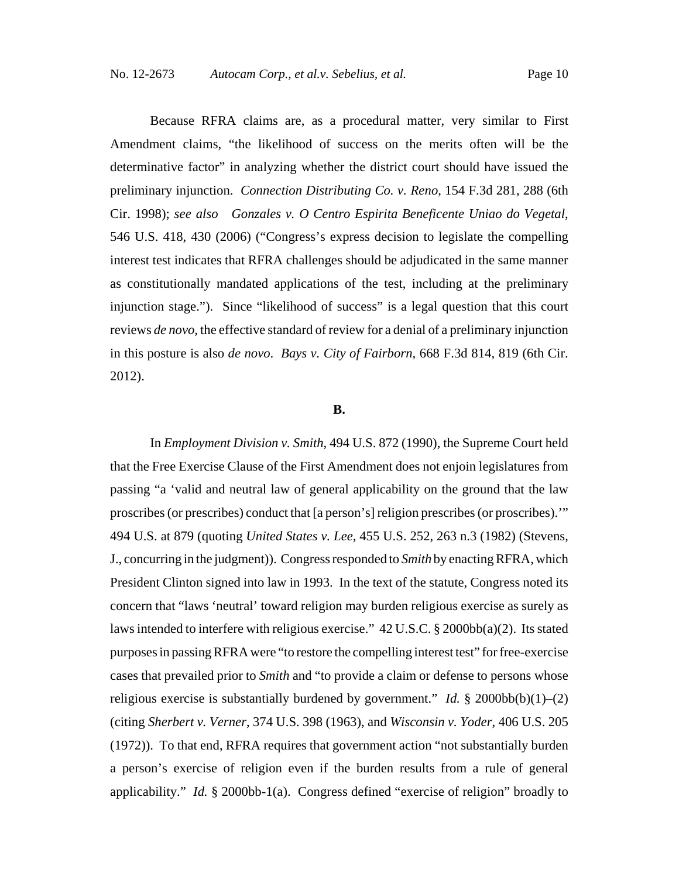Because RFRA claims are, as a procedural matter, very similar to First Amendment claims, "the likelihood of success on the merits often will be the determinative factor" in analyzing whether the district court should have issued the preliminary injunction. *Connection Distributing Co. v. Reno*, 154 F.3d 281, 288 (6th Cir. 1998); *see also Gonzales v. O Centro Espirita Beneficente Uniao do Vegetal*, 546 U.S. 418, 430 (2006) ("Congress's express decision to legislate the compelling interest test indicates that RFRA challenges should be adjudicated in the same manner as constitutionally mandated applications of the test, including at the preliminary injunction stage."). Since "likelihood of success" is a legal question that this court reviews *de novo*, the effective standard of review for a denial of a preliminary injunction in this posture is also *de novo*. *Bays v. City of Fairborn*, 668 F.3d 814, 819 (6th Cir. 2012).

#### **B.**

In *Employment Division v. Smith*, 494 U.S. 872 (1990), the Supreme Court held that the Free Exercise Clause of the First Amendment does not enjoin legislatures from passing "a 'valid and neutral law of general applicability on the ground that the law proscribes (or prescribes) conduct that [a person's] religion prescribes (or proscribes).'" 494 U.S. at 879 (quoting *United States v. Lee*, 455 U.S. 252, 263 n.3 (1982) (Stevens, J., concurring in the judgment)). Congress responded to *Smith* by enacting RFRA, which President Clinton signed into law in 1993. In the text of the statute, Congress noted its concern that "laws 'neutral' toward religion may burden religious exercise as surely as laws intended to interfere with religious exercise." 42 U.S.C. § 2000bb(a)(2). Its stated purposes in passing RFRA were "to restore the compelling interest test" for free-exercise cases that prevailed prior to *Smith* and "to provide a claim or defense to persons whose religious exercise is substantially burdened by government." *Id.*  $\S$  2000bb(b)(1)–(2) (citing *Sherbert v. Verner*, 374 U.S. 398 (1963), and *Wisconsin v. Yoder*, 406 U.S. 205 (1972)). To that end, RFRA requires that government action "not substantially burden a person's exercise of religion even if the burden results from a rule of general applicability." *Id.*  $\S$  2000bb-1(a). Congress defined "exercise of religion" broadly to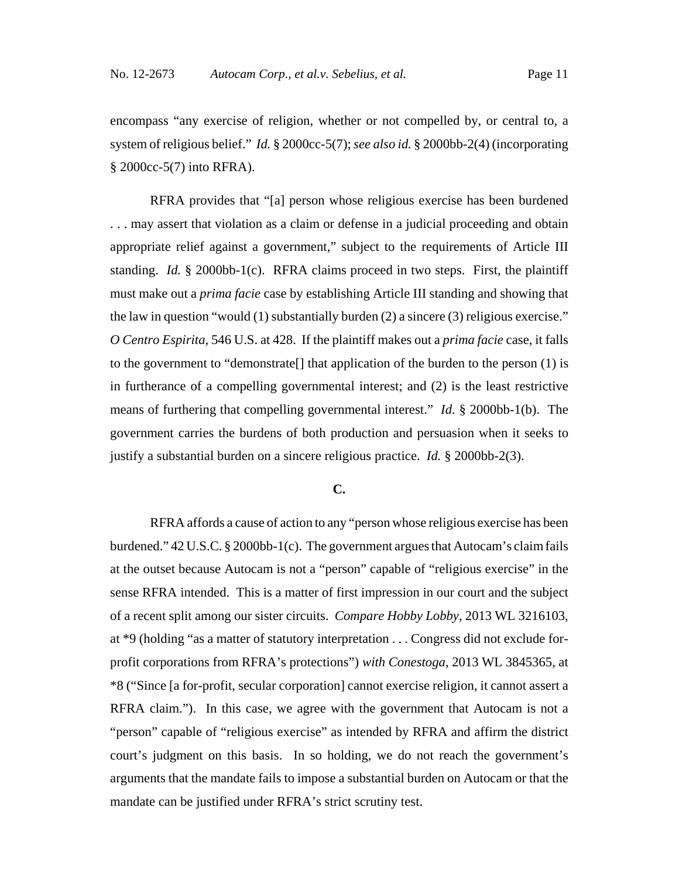encompass "any exercise of religion, whether or not compelled by, or central to, a system of religious belief." *Id.* § 2000cc-5(7); *see also id.* § 2000bb-2(4) (incorporating § 2000cc-5(7) into RFRA).

RFRA provides that "[a] person whose religious exercise has been burdened . . . may assert that violation as a claim or defense in a judicial proceeding and obtain appropriate relief against a government," subject to the requirements of Article III standing. *Id.* § 2000bb-1(c). RFRA claims proceed in two steps. First, the plaintiff must make out a *prima facie* case by establishing Article III standing and showing that the law in question "would (1) substantially burden (2) a sincere (3) religious exercise." *O Centro Espirita*, 546 U.S. at 428. If the plaintiff makes out a *prima facie* case, it falls to the government to "demonstrate[] that application of the burden to the person (1) is in furtherance of a compelling governmental interest; and (2) is the least restrictive means of furthering that compelling governmental interest." *Id.* § 2000bb-1(b). The government carries the burdens of both production and persuasion when it seeks to justify a substantial burden on a sincere religious practice. *Id.* § 2000bb-2(3).

## **C.**

RFRA affords a cause of action to any "person whose religious exercise has been burdened." 42 U.S.C. § 2000bb-1(c). The government argues that Autocam's claim fails at the outset because Autocam is not a "person" capable of "religious exercise" in the sense RFRA intended. This is a matter of first impression in our court and the subject of a recent split among our sister circuits. *Compare Hobby Lobby*, 2013 WL 3216103, at \*9 (holding "as a matter of statutory interpretation . . . Congress did not exclude forprofit corporations from RFRA's protections") *with Conestoga*, 2013 WL 3845365, at \*8 ("Since [a for-profit, secular corporation] cannot exercise religion, it cannot assert a RFRA claim."). In this case, we agree with the government that Autocam is not a "person" capable of "religious exercise" as intended by RFRA and affirm the district court's judgment on this basis. In so holding, we do not reach the government's arguments that the mandate fails to impose a substantial burden on Autocam or that the mandate can be justified under RFRA's strict scrutiny test.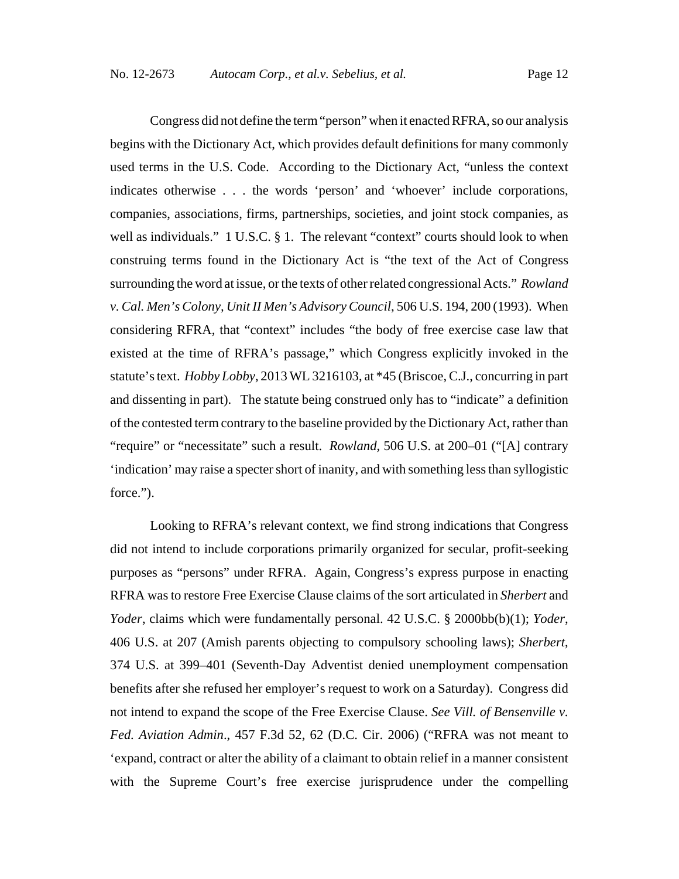Congress did not define the term "person" when it enacted RFRA, so our analysis begins with the Dictionary Act, which provides default definitions for many commonly used terms in the U.S. Code. According to the Dictionary Act, "unless the context indicates otherwise . . . the words 'person' and 'whoever' include corporations, companies, associations, firms, partnerships, societies, and joint stock companies, as well as individuals." 1 U.S.C. § 1. The relevant "context" courts should look to when construing terms found in the Dictionary Act is "the text of the Act of Congress surrounding the word at issue, or the texts of other related congressional Acts." *Rowland v. Cal. Men's Colony, Unit II Men's Advisory Council*, 506 U.S. 194, 200 (1993). When considering RFRA, that "context" includes "the body of free exercise case law that existed at the time of RFRA's passage," which Congress explicitly invoked in the statute's text. *Hobby Lobby*, 2013 WL 3216103, at \*45 (Briscoe, C.J., concurring in part and dissenting in part). The statute being construed only has to "indicate" a definition of the contested term contrary to the baseline provided by the Dictionary Act, rather than "require" or "necessitate" such a result. *Rowland*, 506 U.S. at 200–01 ("[A] contrary 'indication' may raise a specter short of inanity, and with something less than syllogistic force.").

Looking to RFRA's relevant context, we find strong indications that Congress did not intend to include corporations primarily organized for secular, profit-seeking purposes as "persons" under RFRA. Again, Congress's express purpose in enacting RFRA was to restore Free Exercise Clause claims of the sort articulated in *Sherbert* and *Yoder*, claims which were fundamentally personal. 42 U.S.C. § 2000bb(b)(1); *Yoder*, 406 U.S. at 207 (Amish parents objecting to compulsory schooling laws); *Sherbert*, 374 U.S. at 399–401 (Seventh-Day Adventist denied unemployment compensation benefits after she refused her employer's request to work on a Saturday). Congress did not intend to expand the scope of the Free Exercise Clause. *See Vill. of Bensenville v. Fed. Aviation Admin*., 457 F.3d 52, 62 (D.C. Cir. 2006) ("RFRA was not meant to 'expand, contract or alter the ability of a claimant to obtain relief in a manner consistent with the Supreme Court's free exercise jurisprudence under the compelling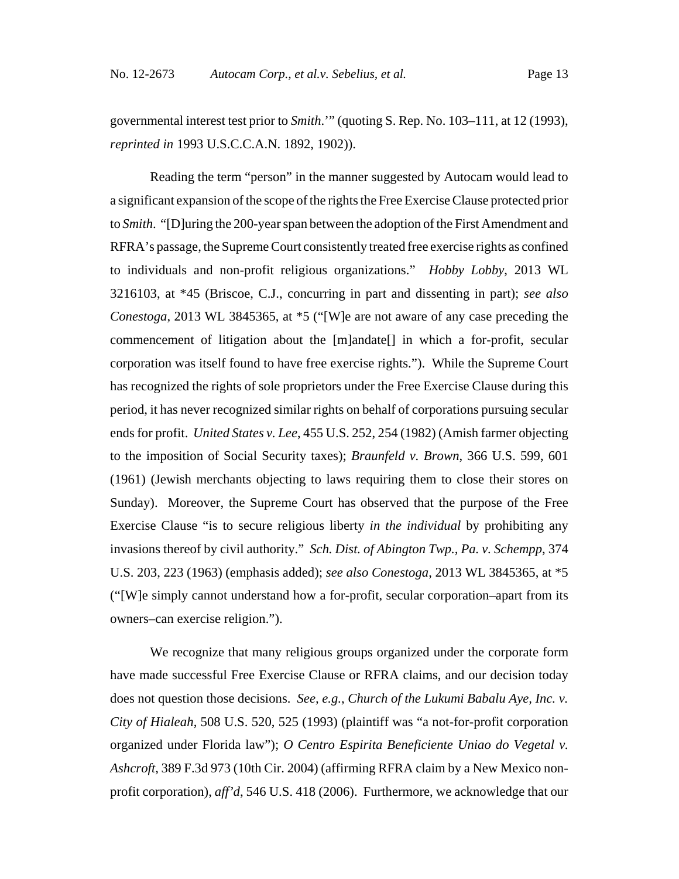governmental interest test prior to *Smith*.'" (quoting S. Rep. No. 103–111, at 12 (1993), *reprinted in* 1993 U.S.C.C.A.N. 1892, 1902)).

Reading the term "person" in the manner suggested by Autocam would lead to a significant expansion of the scope of the rights the Free Exercise Clause protected prior to *Smith*. "[D]uring the 200-year span between the adoption of the First Amendment and RFRA's passage, the Supreme Court consistently treated free exercise rights as confined to individuals and non-profit religious organizations." *Hobby Lobby*, 2013 WL 3216103, at \*45 (Briscoe, C.J., concurring in part and dissenting in part); *see also Conestoga*, 2013 WL 3845365, at \*5 ("[W]e are not aware of any case preceding the commencement of litigation about the [m]andate[] in which a for-profit, secular corporation was itself found to have free exercise rights."). While the Supreme Court has recognized the rights of sole proprietors under the Free Exercise Clause during this period, it has never recognized similar rights on behalf of corporations pursuing secular ends for profit. *United States v. Lee*, 455 U.S. 252, 254 (1982) (Amish farmer objecting to the imposition of Social Security taxes); *Braunfeld v. Brown*, 366 U.S. 599, 601 (1961) (Jewish merchants objecting to laws requiring them to close their stores on Sunday). Moreover, the Supreme Court has observed that the purpose of the Free Exercise Clause "is to secure religious liberty *in the individual* by prohibiting any invasions thereof by civil authority." *Sch. Dist. of Abington Twp., Pa. v. Schempp*, 374 U.S. 203, 223 (1963) (emphasis added); *see also Conestoga*, 2013 WL 3845365, at \*5 ("[W]e simply cannot understand how a for-profit, secular corporation–apart from its owners–can exercise religion.").

We recognize that many religious groups organized under the corporate form have made successful Free Exercise Clause or RFRA claims, and our decision today does not question those decisions. *See, e.g.*, *Church of the Lukumi Babalu Aye, Inc. v. City of Hialeah*, 508 U.S. 520, 525 (1993) (plaintiff was "a not-for-profit corporation organized under Florida law"); *O Centro Espirita Beneficiente Uniao do Vegetal v. Ashcroft*, 389 F.3d 973 (10th Cir. 2004) (affirming RFRA claim by a New Mexico nonprofit corporation), *aff'd*, 546 U.S. 418 (2006). Furthermore, we acknowledge that our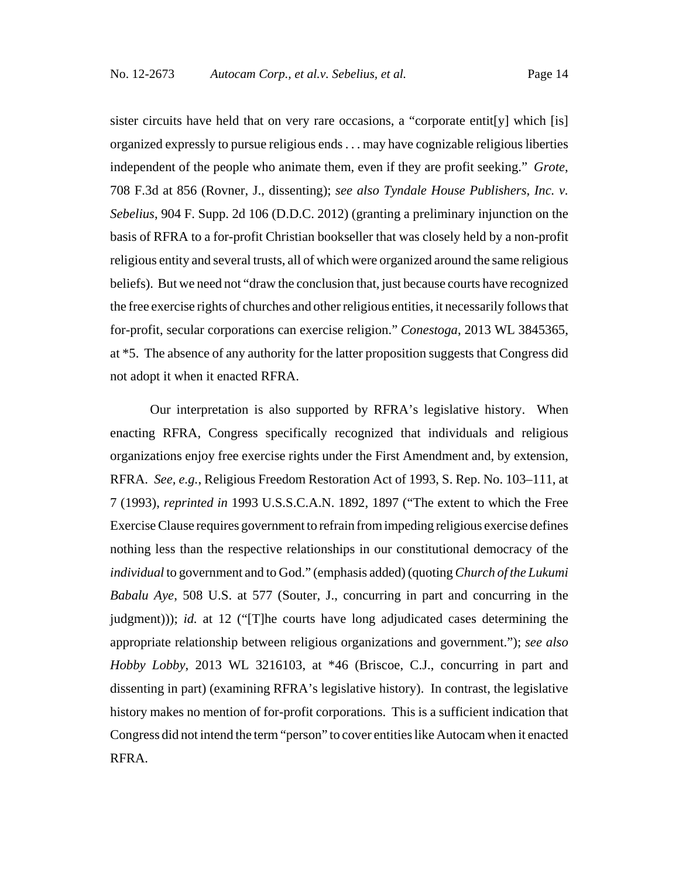sister circuits have held that on very rare occasions, a "corporate entit [y] which [is] organized expressly to pursue religious ends . . . may have cognizable religious liberties independent of the people who animate them, even if they are profit seeking." *Grote*, 708 F.3d at 856 (Rovner, J., dissenting); *see also Tyndale House Publishers, Inc. v. Sebelius*, 904 F. Supp. 2d 106 (D.D.C. 2012) (granting a preliminary injunction on the basis of RFRA to a for-profit Christian bookseller that was closely held by a non-profit religious entity and several trusts, all of which were organized around the same religious beliefs). But we need not "draw the conclusion that, just because courts have recognized the free exercise rights of churches and other religious entities, it necessarily follows that for-profit, secular corporations can exercise religion." *Conestoga*, 2013 WL 3845365, at \*5. The absence of any authority for the latter proposition suggests that Congress did not adopt it when it enacted RFRA.

Our interpretation is also supported by RFRA's legislative history. When enacting RFRA, Congress specifically recognized that individuals and religious organizations enjoy free exercise rights under the First Amendment and, by extension, RFRA. *See, e.g.*, Religious Freedom Restoration Act of 1993, S. Rep. No. 103–111, at 7 (1993), *reprinted in* 1993 U.S.S.C.A.N. 1892, 1897 ("The extent to which the Free Exercise Clause requires government to refrain from impeding religious exercise defines nothing less than the respective relationships in our constitutional democracy of the *individual* to government and to God." (emphasis added) (quoting *Church of the Lukumi Babalu Aye*, 508 U.S. at 577 (Souter, J., concurring in part and concurring in the judgment))); *id.* at 12 ("[T]he courts have long adjudicated cases determining the appropriate relationship between religious organizations and government."); *see also Hobby Lobby*, 2013 WL 3216103, at \*46 (Briscoe, C.J., concurring in part and dissenting in part) (examining RFRA's legislative history). In contrast, the legislative history makes no mention of for-profit corporations. This is a sufficient indication that Congress did not intend the term "person" to cover entities like Autocam when it enacted RFRA.